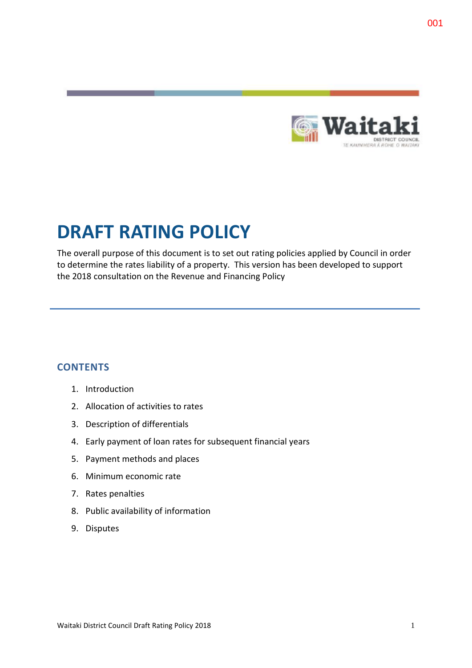

# **DRAFT RATING POLICY**

The overall purpose of this document is to set out rating policies applied by Council in order to determine the rates liability of a property. This version has been developed to support the 2018 consultation on the Revenue and Financing Policy

## **CONTENTS**

- 1. Introduction
- 2. Allocation of activities to rates
- 3. Description of differentials
- 4. Early payment of loan rates for subsequent financial years
- 5. Payment methods and places
- 6. Minimum economic rate
- 7. Rates penalties
- 8. Public availability of information
- 9. Disputes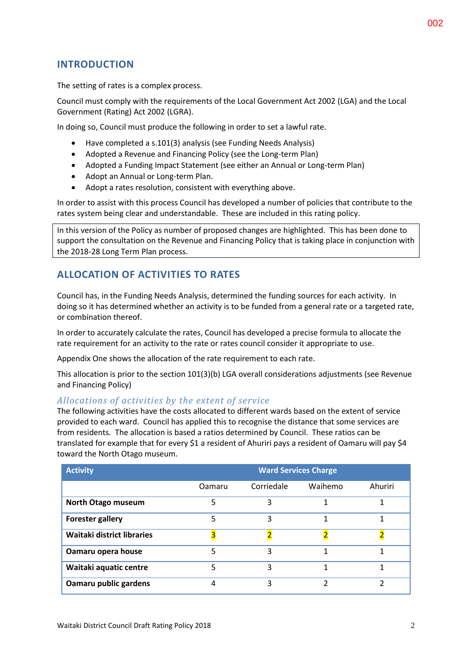# **INTRODUCTION**

The setting of rates is a complex process.

Council must comply with the requirements of the Local Government Act 2002 (LGA) and the Local Government (Rating) Act 2002 (LGRA).

In doing so, Council must produce the following in order to set a lawful rate.

- Have completed a s.101(3) analysis (see Funding Needs Analysis)
- Adopted a Revenue and Financing Policy (see the Long-term Plan)
- Adopted a Funding Impact Statement (see either an Annual or Long-term Plan)
- Adopt an Annual or Long-term Plan.
- Adopt a rates resolution, consistent with everything above.

In order to assist with this process Council has developed a number of policies that contribute to the rates system being clear and understandable. These are included in this rating policy.

In this version of the Policy as number of proposed changes are highlighted. This has been done to support the consultation on the Revenue and Financing Policy that is taking place in conjunction with the 2018-28 Long Term Plan process.

## **ALLOCATION OF ACTIVITIES TO RATES**

Council has, in the Funding Needs Analysis, determined the funding sources for each activity. In doing so it has determined whether an activity is to be funded from a general rate or a targeted rate, or combination thereof.

In order to accurately calculate the rates, Council has developed a precise formula to allocate the rate requirement for an activity to the rate or rates council consider it appropriate to use.

Appendix One shows the allocation of the rate requirement to each rate.

This allocation is prior to the section 101(3)(b) LGA overall considerations adjustments (see Revenue and Financing Policy)

#### *Allocations of activities by the extent of service*

The following activities have the costs allocated to different wards based on the extent of service provided to each ward. Council has applied this to recognise the distance that some services are from residents. The allocation is based a ratios determined by Council. These ratios can be translated for example that for every \$1 a resident of Ahuriri pays a resident of Oamaru will pay \$4 toward the North Otago museum.

| <b>Activity</b>            | <b>Ward Services Charge</b> |            |         |         |  |  |  |  |  |  |  |
|----------------------------|-----------------------------|------------|---------|---------|--|--|--|--|--|--|--|
|                            | Oamaru                      | Corriedale | Waihemo | Ahuriri |  |  |  |  |  |  |  |
| North Otago museum         | 5                           | 3          | 1       |         |  |  |  |  |  |  |  |
| <b>Forester gallery</b>    | 5                           | 3          |         |         |  |  |  |  |  |  |  |
| Waitaki district libraries |                             |            |         |         |  |  |  |  |  |  |  |
| Oamaru opera house         | 5                           | 3          |         |         |  |  |  |  |  |  |  |
| Waitaki aquatic centre     | 5                           | 3          |         |         |  |  |  |  |  |  |  |
| Oamaru public gardens      | 4                           | ς          |         |         |  |  |  |  |  |  |  |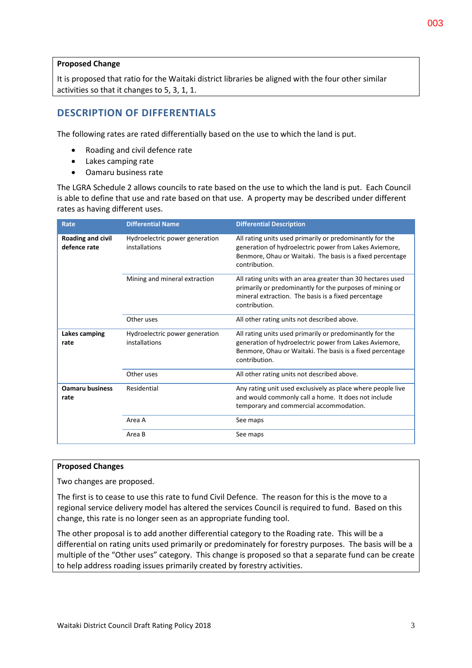#### **Proposed Change**

It is proposed that ratio for the Waitaki district libraries be aligned with the four other similar activities so that it changes to 5, 3, 1, 1.

# **DESCRIPTION OF DIFFERENTIALS**

The following rates are rated differentially based on the use to which the land is put.

- Roading and civil defence rate
- Lakes camping rate
- Oamaru business rate

The LGRA Schedule 2 allows councils to rate based on the use to which the land is put. Each Council is able to define that use and rate based on that use. A property may be described under different rates as having different uses.

| Rate                              | <b>Differential Name</b>                        | <b>Differential Description</b>                                                                                                                                                                  |  |  |  |  |  |  |
|-----------------------------------|-------------------------------------------------|--------------------------------------------------------------------------------------------------------------------------------------------------------------------------------------------------|--|--|--|--|--|--|
| Roading and civil<br>defence rate | Hydroelectric power generation<br>installations | All rating units used primarily or predominantly for the<br>generation of hydroelectric power from Lakes Aviemore,<br>Benmore, Ohau or Waitaki. The basis is a fixed percentage<br>contribution. |  |  |  |  |  |  |
|                                   | Mining and mineral extraction                   | All rating units with an area greater than 30 hectares used<br>primarily or predominantly for the purposes of mining or<br>mineral extraction. The basis is a fixed percentage<br>contribution.  |  |  |  |  |  |  |
|                                   | Other uses                                      | All other rating units not described above.                                                                                                                                                      |  |  |  |  |  |  |
| Lakes camping<br>rate             | Hydroelectric power generation<br>installations | All rating units used primarily or predominantly for the<br>generation of hydroelectric power from Lakes Aviemore,<br>Benmore, Ohau or Waitaki. The basis is a fixed percentage<br>contribution. |  |  |  |  |  |  |
|                                   | Other uses                                      | All other rating units not described above.                                                                                                                                                      |  |  |  |  |  |  |
| <b>Oamaru business</b><br>rate    | Residential                                     | Any rating unit used exclusively as place where people live<br>and would commonly call a home. It does not include<br>temporary and commercial accommodation.                                    |  |  |  |  |  |  |
|                                   | Area A                                          | See maps                                                                                                                                                                                         |  |  |  |  |  |  |
|                                   | Area B                                          | See maps                                                                                                                                                                                         |  |  |  |  |  |  |

#### **Proposed Changes**

Two changes are proposed.

The first is to cease to use this rate to fund Civil Defence. The reason for this is the move to a regional service delivery model has altered the services Council is required to fund. Based on this change, this rate is no longer seen as an appropriate funding tool.

The other proposal is to add another differential category to the Roading rate. This will be a differential on rating units used primarily or predominately for forestry purposes. The basis will be a multiple of the "Other uses" category. This change is proposed so that a separate fund can be create to help address roading issues primarily created by forestry activities.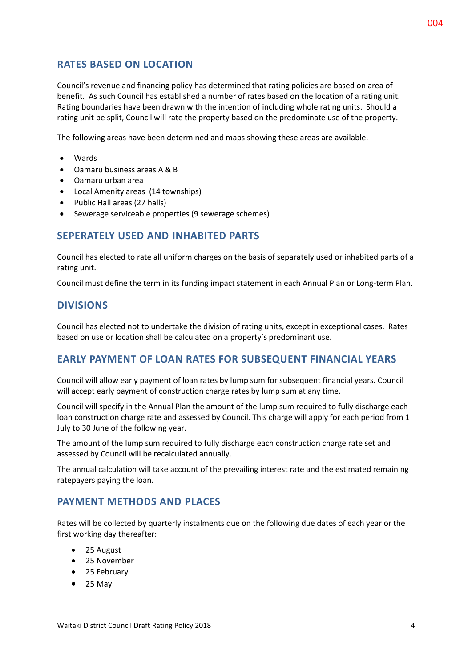# **RATES BASED ON LOCATION**

Council's revenue and financing policy has determined that rating policies are based on area of benefit. As such Council has established a number of rates based on the location of a rating unit. Rating boundaries have been drawn with the intention of including whole rating units. Should a rating unit be split, Council will rate the property based on the predominate use of the property.

The following areas have been determined and maps showing these areas are available.

- **a** Wards
- Oamaru business areas A & B
- Oamaru urban area
- Local Amenity areas (14 townships)
- Public Hall areas (27 halls)
- Sewerage serviceable properties (9 sewerage schemes)

## **SEPERATELY USED AND INHABITED PARTS**

Council has elected to rate all uniform charges on the basis of separately used or inhabited parts of a rating unit.

Council must define the term in its funding impact statement in each Annual Plan or Long-term Plan.

#### **DIVISIONS**

Council has elected not to undertake the division of rating units, except in exceptional cases. Rates based on use or location shall be calculated on a property's predominant use.

#### **EARLY PAYMENT OF LOAN RATES FOR SUBSEQUENT FINANCIAL YEARS**

Council will allow early payment of loan rates by lump sum for subsequent financial years. Council will accept early payment of construction charge rates by lump sum at any time.

Council will specify in the Annual Plan the amount of the lump sum required to fully discharge each loan construction charge rate and assessed by Council. This charge will apply for each period from 1 July to 30 June of the following year.

The amount of the lump sum required to fully discharge each construction charge rate set and assessed by Council will be recalculated annually.

The annual calculation will take account of the prevailing interest rate and the estimated remaining ratepayers paying the loan.

## **PAYMENT METHODS AND PLACES**

Rates will be collected by quarterly instalments due on the following due dates of each year or the first working day thereafter:

- 25 August
- 25 November
- 25 February
- $\bullet$  25 May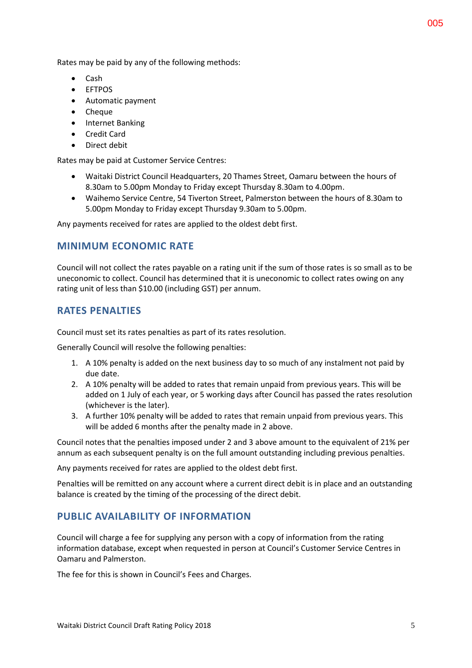Rates may be paid by any of the following methods:

- Cash
- EFTPOS
- Automatic payment
- Cheque
- Internet Banking
- Credit Card
- **•** Direct debit

Rates may be paid at Customer Service Centres:

- Waitaki District Council Headquarters, 20 Thames Street, Oamaru between the hours of 8.30am to 5.00pm Monday to Friday except Thursday 8.30am to 4.00pm.
- Waihemo Service Centre, 54 Tiverton Street, Palmerston between the hours of 8.30am to 5.00pm Monday to Friday except Thursday 9.30am to 5.00pm.

Any payments received for rates are applied to the oldest debt first.

## **MINIMUM ECONOMIC RATE**

Council will not collect the rates payable on a rating unit if the sum of those rates is so small as to be uneconomic to collect. Council has determined that it is uneconomic to collect rates owing on any rating unit of less than \$10.00 (including GST) per annum.

## **RATES PENALTIES**

Council must set its rates penalties as part of its rates resolution.

Generally Council will resolve the following penalties:

- 1. A 10% penalty is added on the next business day to so much of any instalment not paid by due date.
- 2. A 10% penalty will be added to rates that remain unpaid from previous years. This will be added on 1 July of each year, or 5 working days after Council has passed the rates resolution (whichever is the later).
- 3. A further 10% penalty will be added to rates that remain unpaid from previous years. This will be added 6 months after the penalty made in 2 above.

Council notes that the penalties imposed under 2 and 3 above amount to the equivalent of 21% per annum as each subsequent penalty is on the full amount outstanding including previous penalties.

Any payments received for rates are applied to the oldest debt first.

Penalties will be remitted on any account where a current direct debit is in place and an outstanding balance is created by the timing of the processing of the direct debit.

## **PUBLIC AVAILABILITY OF INFORMATION**

Council will charge a fee for supplying any person with a copy of information from the rating information database, except when requested in person at Council's Customer Service Centres in Oamaru and Palmerston.

The fee for this is shown in Council's Fees and Charges.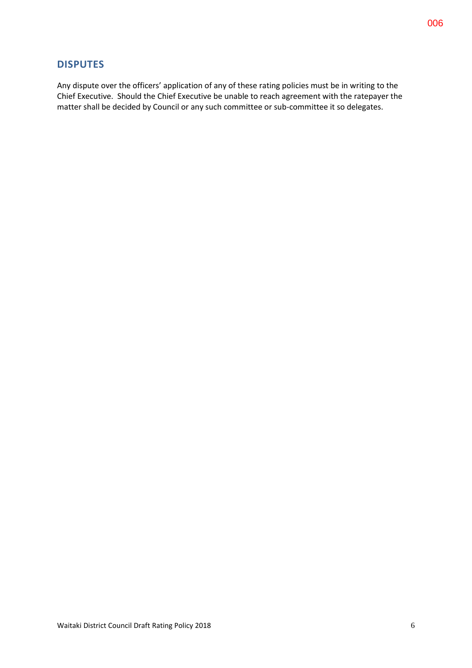## **DISPUTES**

Any dispute over the officers' application of any of these rating policies must be in writing to the Chief Executive. Should the Chief Executive be unable to reach agreement with the ratepayer the matter shall be decided by Council or any such committee or sub-committee it so delegates.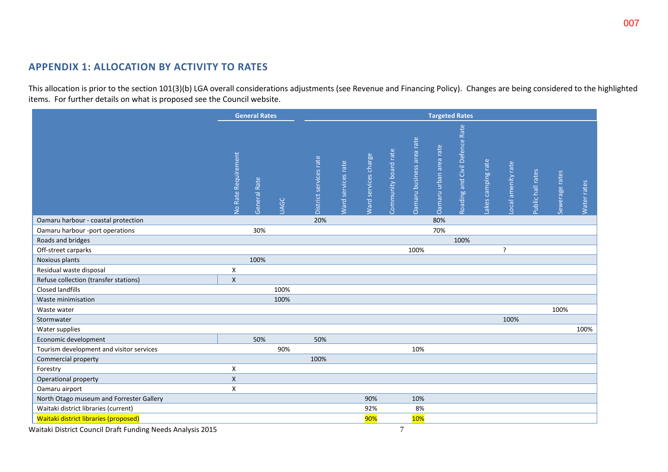# **APPENDIX 1: ALLOCATION BY ACTIVITY TO RATES**

This allocation is prior to the section 101(3)(b) LGA overall considerations adjustments (see Revenue and Financing Policy). Changes are being considered to the highlighted items. For further details on what is proposed see the Council website.

|                                              |                           | <b>General Rates</b> |             | <b>Targeted Rates</b>  |                    |                      |                      |                           |                        |                                |                    |                    |                   |                |             |
|----------------------------------------------|---------------------------|----------------------|-------------|------------------------|--------------------|----------------------|----------------------|---------------------------|------------------------|--------------------------------|--------------------|--------------------|-------------------|----------------|-------------|
|                                              | No Rate Requirement       | General Rate         | <b>UAGC</b> | District services rate | Ward services rate | Ward services charge | Community board rate | Oamaru business area rate | Oamaru urban area rate | Roading and Civil Defence Rate | Lakes camping rate | Local amenity rate | Public hall rates | Sewerage rates | Water rates |
| Oamaru harbour - coastal protection          |                           |                      |             | 20%                    |                    |                      |                      |                           | 80%                    |                                |                    |                    |                   |                |             |
| Oamaru harbour -port operations              |                           | 30%                  |             |                        |                    |                      |                      |                           | 70%                    |                                |                    |                    |                   |                |             |
| Roads and bridges                            |                           |                      |             |                        |                    |                      |                      |                           |                        | 100%                           |                    |                    |                   |                |             |
| Off-street carparks                          |                           |                      |             |                        |                    |                      |                      | 100%                      |                        |                                |                    | ?                  |                   |                |             |
| Noxious plants                               |                           | 100%                 |             |                        |                    |                      |                      |                           |                        |                                |                    |                    |                   |                |             |
| Residual waste disposal                      | Χ                         |                      |             |                        |                    |                      |                      |                           |                        |                                |                    |                    |                   |                |             |
| Refuse collection (transfer stations)        | $\pmb{\mathsf{X}}$        |                      |             |                        |                    |                      |                      |                           |                        |                                |                    |                    |                   |                |             |
| <b>Closed landfills</b>                      |                           |                      | 100%        |                        |                    |                      |                      |                           |                        |                                |                    |                    |                   |                |             |
| Waste minimisation                           |                           |                      | 100%        |                        |                    |                      |                      |                           |                        |                                |                    |                    |                   |                |             |
| Waste water                                  |                           |                      |             |                        |                    |                      |                      |                           |                        |                                |                    |                    |                   | 100%           |             |
| Stormwater                                   |                           |                      |             |                        |                    |                      |                      |                           |                        |                                |                    | 100%               |                   |                |             |
| Water supplies                               |                           |                      |             |                        |                    |                      |                      |                           |                        |                                |                    |                    |                   |                | 100%        |
| Economic development                         |                           | 50%                  |             | 50%                    |                    |                      |                      |                           |                        |                                |                    |                    |                   |                |             |
| Tourism development and visitor services     |                           |                      | 90%         |                        |                    |                      |                      | 10%                       |                        |                                |                    |                    |                   |                |             |
| Commercial property                          |                           |                      |             | 100%                   |                    |                      |                      |                           |                        |                                |                    |                    |                   |                |             |
| Forestry                                     | $\pmb{\mathsf{X}}$        |                      |             |                        |                    |                      |                      |                           |                        |                                |                    |                    |                   |                |             |
| Operational property                         | $\boldsymbol{\mathsf{X}}$ |                      |             |                        |                    |                      |                      |                           |                        |                                |                    |                    |                   |                |             |
| Oamaru airport                               | X                         |                      |             |                        |                    |                      |                      |                           |                        |                                |                    |                    |                   |                |             |
| North Otago museum and Forrester Gallery     |                           |                      |             |                        |                    | 90%                  |                      | 10%                       |                        |                                |                    |                    |                   |                |             |
| Waitaki district libraries (current)         |                           |                      |             |                        |                    | 92%                  |                      | 8%                        |                        |                                |                    |                    |                   |                |             |
| <b>Waitaki district libraries (proposed)</b> |                           |                      |             |                        |                    | 90%                  |                      | 10%                       |                        |                                |                    |                    |                   |                |             |

Waitaki District Council Draft Funding Needs Analysis 2015 **7** and the state of the state of the state of the state of the state of the state of the state of the state of the state of the state of the state of the state of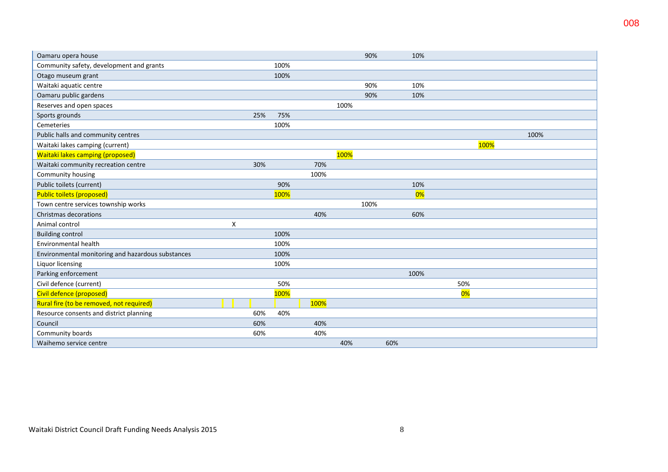| Oamaru opera house                                |   |     |      |      |      | 90%  |     | 10%  |     |      |      |  |
|---------------------------------------------------|---|-----|------|------|------|------|-----|------|-----|------|------|--|
| Community safety, development and grants          |   |     | 100% |      |      |      |     |      |     |      |      |  |
| Otago museum grant                                |   |     | 100% |      |      |      |     |      |     |      |      |  |
| Waitaki aquatic centre                            |   |     |      |      |      | 90%  |     | 10%  |     |      |      |  |
| Oamaru public gardens                             |   |     |      |      |      | 90%  |     | 10%  |     |      |      |  |
| Reserves and open spaces                          |   |     |      |      | 100% |      |     |      |     |      |      |  |
| Sports grounds                                    |   | 25% | 75%  |      |      |      |     |      |     |      |      |  |
| Cemeteries                                        |   |     | 100% |      |      |      |     |      |     |      |      |  |
| Public halls and community centres                |   |     |      |      |      |      |     |      |     |      | 100% |  |
| Waitaki lakes camping (current)                   |   |     |      |      |      |      |     |      |     | 100% |      |  |
| <b>Waitaki lakes camping (proposed)</b>           |   |     |      |      | 100% |      |     |      |     |      |      |  |
| Waitaki community recreation centre               |   | 30% |      | 70%  |      |      |     |      |     |      |      |  |
| Community housing                                 |   |     |      | 100% |      |      |     |      |     |      |      |  |
| Public toilets (current)                          |   |     | 90%  |      |      |      |     | 10%  |     |      |      |  |
| <b>Public toilets (proposed)</b>                  |   |     | 100% |      |      |      |     | 0%   |     |      |      |  |
| Town centre services township works               |   |     |      |      |      | 100% |     |      |     |      |      |  |
| Christmas decorations                             |   |     |      | 40%  |      |      |     | 60%  |     |      |      |  |
| Animal control                                    | X |     |      |      |      |      |     |      |     |      |      |  |
| <b>Building control</b>                           |   |     | 100% |      |      |      |     |      |     |      |      |  |
| Environmental health                              |   |     | 100% |      |      |      |     |      |     |      |      |  |
| Environmental monitoring and hazardous substances |   |     | 100% |      |      |      |     |      |     |      |      |  |
| Liquor licensing                                  |   |     | 100% |      |      |      |     |      |     |      |      |  |
| Parking enforcement                               |   |     |      |      |      |      |     | 100% |     |      |      |  |
| Civil defence (current)                           |   |     | 50%  |      |      |      |     |      | 50% |      |      |  |
| Civil defence (proposed)                          |   |     | 100% |      |      |      |     |      | 0%  |      |      |  |
| Rural fire (to be removed, not required)          |   |     |      | 100% |      |      |     |      |     |      |      |  |
| Resource consents and district planning           |   | 60% | 40%  |      |      |      |     |      |     |      |      |  |
| Council                                           |   | 60% |      | 40%  |      |      |     |      |     |      |      |  |
| Community boards                                  |   | 60% |      | 40%  |      |      |     |      |     |      |      |  |
| Waihemo service centre                            |   |     |      |      | 40%  |      | 60% |      |     |      |      |  |